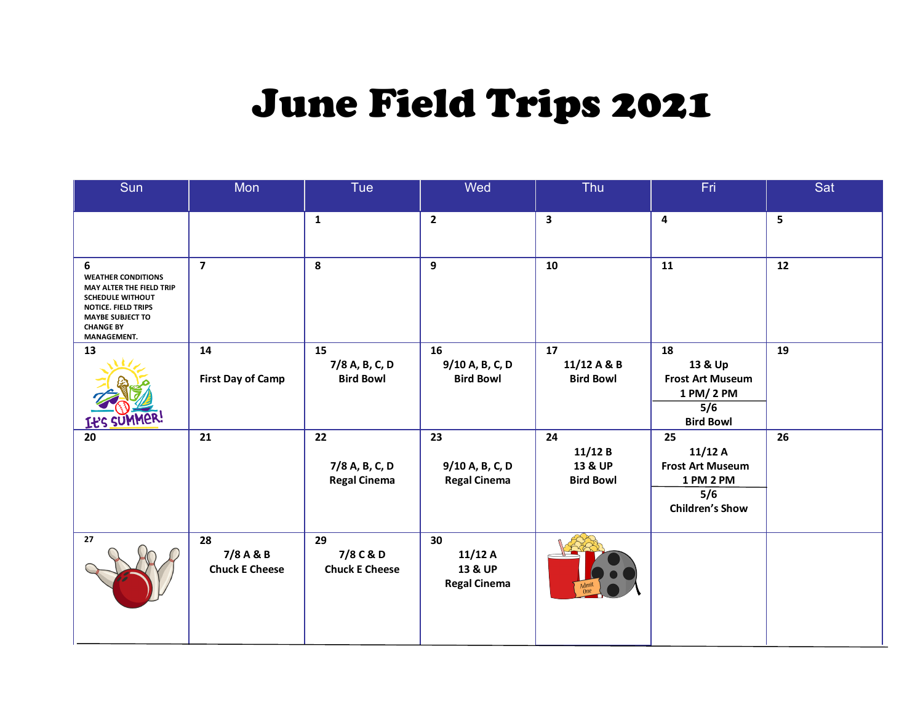## June Field Trips 2021

| Sun                                                                                                                                                                        | Mon                                      | Tue                                         | Wed                                            | Thu                                         | Fri                                                                                   | Sat  |
|----------------------------------------------------------------------------------------------------------------------------------------------------------------------------|------------------------------------------|---------------------------------------------|------------------------------------------------|---------------------------------------------|---------------------------------------------------------------------------------------|------|
|                                                                                                                                                                            |                                          | $\mathbf{1}$                                | $\overline{2}$                                 | $\mathbf{3}$                                | 4                                                                                     | 5    |
| 6<br><b>WEATHER CONDITIONS</b><br>MAY ALTER THE FIELD TRIP<br><b>SCHEDULE WITHOUT</b><br>NOTICE. FIELD TRIPS<br><b>MAYBE SUBJECT TO</b><br><b>CHANGE BY</b><br>MANAGEMENT. | $\overline{7}$                           | 8                                           | 9                                              | 10                                          | 11                                                                                    | $12$ |
| 13<br><b>16B</b>                                                                                                                                                           | 14<br><b>First Day of Camp</b>           | 15<br>7/8 A, B, C, D<br><b>Bird Bowl</b>    | 16<br>9/10 A, B, C, D<br><b>Bird Bowl</b>      | 17<br>11/12 A & B<br><b>Bird Bowl</b>       | 18<br>13 & Up<br><b>Frost Art Museum</b><br>1 PM/ 2 PM<br>5/6<br><b>Bird Bowl</b>     | 19   |
| 20                                                                                                                                                                         | 21                                       | 22<br>7/8 A, B, C, D<br><b>Regal Cinema</b> | 23<br>9/10 A, B, C, D<br><b>Regal Cinema</b>   | 24<br>11/12B<br>13 & UP<br><b>Bird Bowl</b> | 25<br>11/12A<br><b>Frost Art Museum</b><br>1 PM 2 PM<br>5/6<br><b>Children's Show</b> | 26   |
| 27                                                                                                                                                                         | 28<br>7/8 A & B<br><b>Chuck E Cheese</b> | 29<br>7/8 C & D<br><b>Chuck E Cheese</b>    | 30<br>11/12A<br>13 & UP<br><b>Regal Cinema</b> |                                             |                                                                                       |      |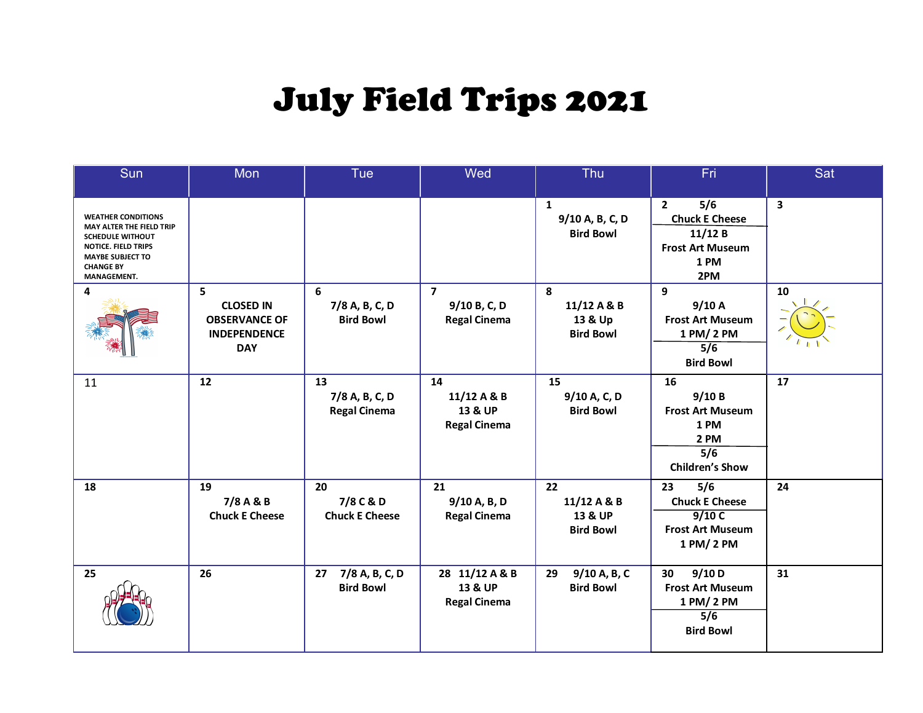## July Field Trips 2021

| Sun                                                                                                                                                                          | Mon                                                                                | Tue                                         | Wed                                                   | Thu                                                 | Fri                                                                                                | Sat |
|------------------------------------------------------------------------------------------------------------------------------------------------------------------------------|------------------------------------------------------------------------------------|---------------------------------------------|-------------------------------------------------------|-----------------------------------------------------|----------------------------------------------------------------------------------------------------|-----|
| <b>WEATHER CONDITIONS</b><br>MAY ALTER THE FIELD TRIP<br><b>SCHEDULE WITHOUT</b><br><b>NOTICE, FIELD TRIPS</b><br><b>MAYBE SUBJECT TO</b><br><b>CHANGE BY</b><br>MANAGEMENT. |                                                                                    |                                             |                                                       | $\mathbf{1}$<br>9/10 A, B, C, D<br><b>Bird Bowl</b> | 5/6<br>$\overline{2}$<br><b>Chuck E Cheese</b><br>11/12B<br><b>Frost Art Museum</b><br>1 PM<br>2PM | 3   |
| 4                                                                                                                                                                            | 5<br><b>CLOSED IN</b><br><b>OBSERVANCE OF</b><br><b>INDEPENDENCE</b><br><b>DAY</b> | 6<br>7/8 A, B, C, D<br><b>Bird Bowl</b>     | $\overline{7}$<br>9/10 B, C, D<br><b>Regal Cinema</b> | 8<br>11/12 A & B<br>13 & Up<br><b>Bird Bowl</b>     | 9<br>9/10A<br><b>Frost Art Museum</b><br>1 PM/2 PM<br>5/6<br><b>Bird Bowl</b>                      | 10  |
| 11                                                                                                                                                                           | 12                                                                                 | 13<br>7/8 A, B, C, D<br><b>Regal Cinema</b> | 14<br>11/12 A & B<br>13 & UP<br><b>Regal Cinema</b>   | 15<br>9/10 A, C, D<br><b>Bird Bowl</b>              | 16<br>9/10B<br><b>Frost Art Museum</b><br>1 PM<br>2 PM<br>5/6<br><b>Children's Show</b>            | 17  |
| 18                                                                                                                                                                           | 19<br>7/8 A & B<br><b>Chuck E Cheese</b>                                           | 20<br>7/8 C & D<br><b>Chuck E Cheese</b>    | 21<br>9/10 A, B, D<br><b>Regal Cinema</b>             | 22<br>11/12 A & B<br>13 & UP<br><b>Bird Bowl</b>    | 23<br>5/6<br><b>Chuck E Cheese</b><br>9/10C<br><b>Frost Art Museum</b><br>1 PM/2 PM                | 24  |
| 25                                                                                                                                                                           | 26                                                                                 | 27<br>7/8 A, B, C, D<br><b>Bird Bowl</b>    | 28 11/12 A & B<br>13 & UP<br><b>Regal Cinema</b>      | 29<br>9/10 A, B, C<br><b>Bird Bowl</b>              | 9/10 D<br>30<br><b>Frost Art Museum</b><br>1 PM/2 PM<br>$\overline{5/6}$<br><b>Bird Bowl</b>       | 31  |